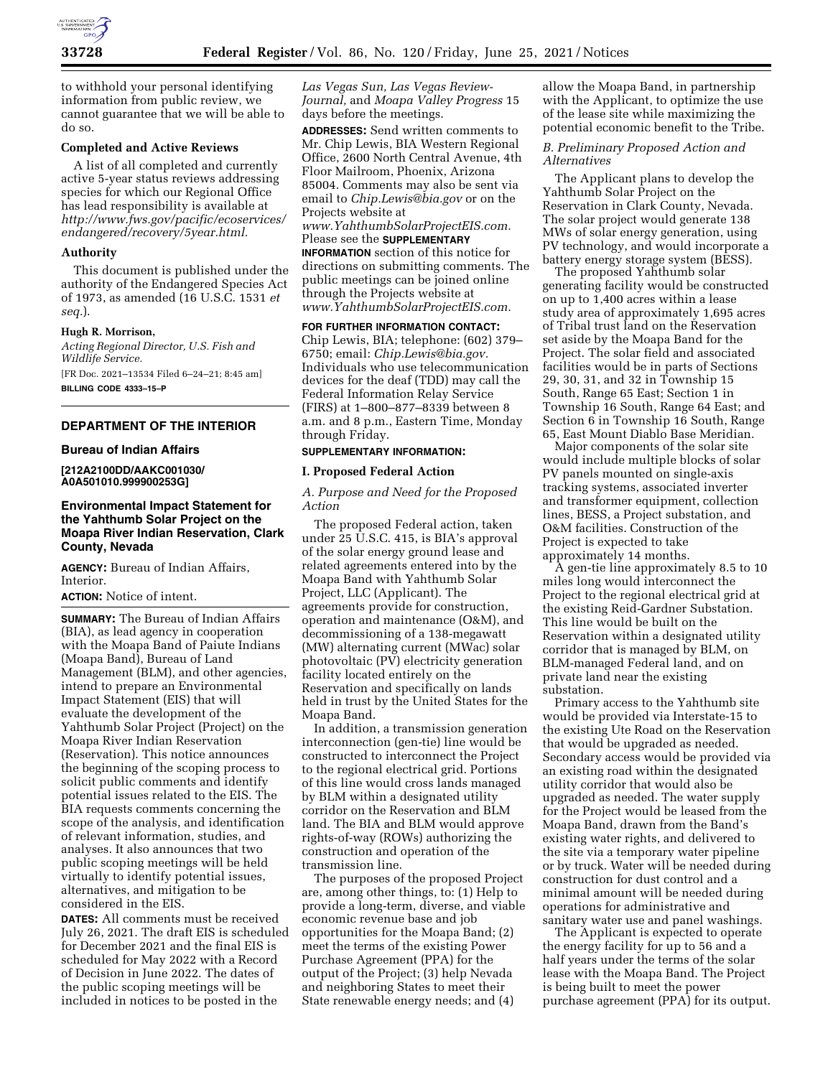

to withhold your personal identifying information from public review, we cannot guarantee that we will be able to do so.

## **Completed and Active Reviews**

A list of all completed and currently active 5-year status reviews addressing species for which our Regional Office has lead responsibility is available at *[http://www.fws.gov/pacific/ecoservices/](http://www.fws.gov/pacific/ecoservices/endangered/recovery/5year.html) [endangered/recovery/5year.html.](http://www.fws.gov/pacific/ecoservices/endangered/recovery/5year.html)* 

### **Authority**

This document is published under the authority of the Endangered Species Act of 1973, as amended (16 U.S.C. 1531 *et seq.*).

### **Hugh R. Morrison,**

*Acting Regional Director, U.S. Fish and Wildlife Service.* 

[FR Doc. 2021–13534 Filed 6–24–21; 8:45 am] **BILLING CODE 4333–15–P** 

### **DEPARTMENT OF THE INTERIOR**

#### **Bureau of Indian Affairs**

**[212A2100DD/AAKC001030/ A0A501010.999900253G]** 

# **Environmental Impact Statement for the Yahthumb Solar Project on the Moapa River Indian Reservation, Clark County, Nevada**

**AGENCY:** Bureau of Indian Affairs, Interior.

**ACTION:** Notice of intent.

**SUMMARY:** The Bureau of Indian Affairs (BIA), as lead agency in cooperation with the Moapa Band of Paiute Indians (Moapa Band), Bureau of Land Management (BLM), and other agencies, intend to prepare an Environmental Impact Statement (EIS) that will evaluate the development of the Yahthumb Solar Project (Project) on the Moapa River Indian Reservation (Reservation). This notice announces the beginning of the scoping process to solicit public comments and identify potential issues related to the EIS. The BIA requests comments concerning the scope of the analysis, and identification of relevant information, studies, and analyses. It also announces that two public scoping meetings will be held virtually to identify potential issues, alternatives, and mitigation to be considered in the EIS.

**DATES:** All comments must be received July 26, 2021. The draft EIS is scheduled for December 2021 and the final EIS is scheduled for May 2022 with a Record of Decision in June 2022. The dates of the public scoping meetings will be included in notices to be posted in the

*Las Vegas Sun, Las Vegas Review-Journal,* and *Moapa Valley Progress* 15 days before the meetings.

**ADDRESSES:** Send written comments to Mr. Chip Lewis, BIA Western Regional Office, 2600 North Central Avenue, 4th Floor Mailroom, Phoenix, Arizona 85004. Comments may also be sent via email to *[Chip.Lewis@bia.gov](mailto:Chip.Lewis@bia.gov)* or on the Projects website at

*[www.YahthumbSolarProjectEIS.com.](http://www.YahthumbSolarProjectEIS.com)*  Please see the **SUPPLEMENTARY**

**INFORMATION** section of this notice for directions on submitting comments. The public meetings can be joined online through the Projects website at *[www.YahthumbSolarProjectEIS.com.](http://www.YahthumbSolarProjectEIS.com)* 

**FOR FURTHER INFORMATION CONTACT:**  Chip Lewis, BIA; telephone: (602) 379– 6750; email: *[Chip.Lewis@bia.gov.](mailto:Chip.Lewis@bia.gov)*  Individuals who use telecommunication devices for the deaf (TDD) may call the Federal Information Relay Service (FIRS) at 1–800–877–8339 between 8 a.m. and 8 p.m., Eastern Time, Monday through Friday.

## **SUPPLEMENTARY INFORMATION:**

### **I. Proposed Federal Action**

*A. Purpose and Need for the Proposed Action* 

The proposed Federal action, taken under 25 U.S.C. 415, is BIA's approval of the solar energy ground lease and related agreements entered into by the Moapa Band with Yahthumb Solar Project, LLC (Applicant). The agreements provide for construction, operation and maintenance (O&M), and decommissioning of a 138-megawatt (MW) alternating current (MWac) solar photovoltaic (PV) electricity generation facility located entirely on the Reservation and specifically on lands held in trust by the United States for the Moapa Band.

In addition, a transmission generation interconnection (gen-tie) line would be constructed to interconnect the Project to the regional electrical grid. Portions of this line would cross lands managed by BLM within a designated utility corridor on the Reservation and BLM land. The BIA and BLM would approve rights-of-way (ROWs) authorizing the construction and operation of the transmission line.

The purposes of the proposed Project are, among other things, to: (1) Help to provide a long-term, diverse, and viable economic revenue base and job opportunities for the Moapa Band; (2) meet the terms of the existing Power Purchase Agreement (PPA) for the output of the Project; (3) help Nevada and neighboring States to meet their State renewable energy needs; and (4)

allow the Moapa Band, in partnership with the Applicant, to optimize the use of the lease site while maximizing the potential economic benefit to the Tribe.

# *B. Preliminary Proposed Action and Alternatives*

The Applicant plans to develop the Yahthumb Solar Project on the Reservation in Clark County, Nevada. The solar project would generate 138 MWs of solar energy generation, using PV technology, and would incorporate a battery energy storage system (BESS).

The proposed Yahthumb solar generating facility would be constructed on up to 1,400 acres within a lease study area of approximately 1,695 acres of Tribal trust land on the Reservation set aside by the Moapa Band for the Project. The solar field and associated facilities would be in parts of Sections 29, 30, 31, and 32 in Township 15 South, Range 65 East; Section 1 in Township 16 South, Range 64 East; and Section 6 in Township 16 South, Range 65, East Mount Diablo Base Meridian.

Major components of the solar site would include multiple blocks of solar PV panels mounted on single-axis tracking systems, associated inverter and transformer equipment, collection lines, BESS, a Project substation, and O&M facilities. Construction of the Project is expected to take approximately 14 months.

A gen-tie line approximately 8.5 to 10 miles long would interconnect the Project to the regional electrical grid at the existing Reid-Gardner Substation. This line would be built on the Reservation within a designated utility corridor that is managed by BLM, on BLM-managed Federal land, and on private land near the existing substation.

Primary access to the Yahthumb site would be provided via Interstate-15 to the existing Ute Road on the Reservation that would be upgraded as needed. Secondary access would be provided via an existing road within the designated utility corridor that would also be upgraded as needed. The water supply for the Project would be leased from the Moapa Band, drawn from the Band's existing water rights, and delivered to the site via a temporary water pipeline or by truck. Water will be needed during construction for dust control and a minimal amount will be needed during operations for administrative and sanitary water use and panel washings.

The Applicant is expected to operate the energy facility for up to 56 and a half years under the terms of the solar lease with the Moapa Band. The Project is being built to meet the power purchase agreement (PPA) for its output.